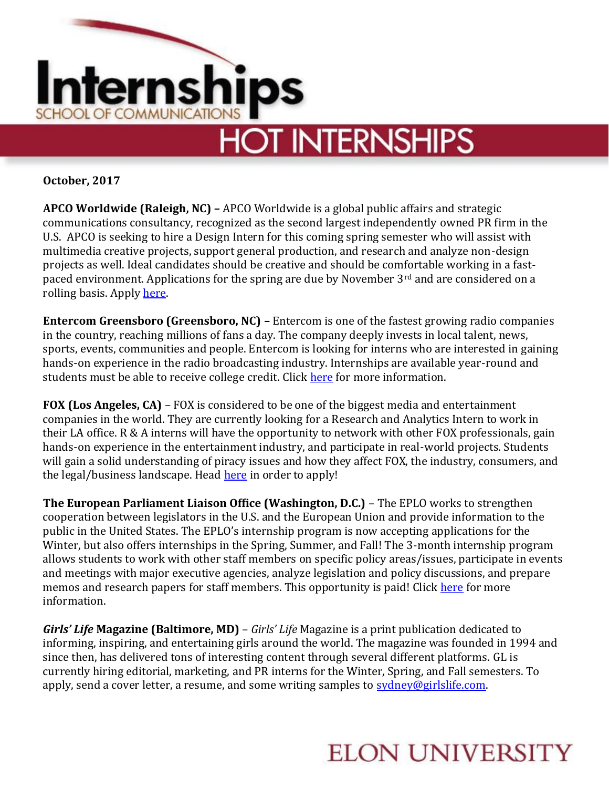

**October, 2017**

**APCO Worldwide (Raleigh, NC) –** APCO Worldwide is a global public affairs and strategic communications consultancy, recognized as the second largest independently owned PR firm in the U.S. APCO is seeking to hire a Design Intern for this coming spring semester who will assist with multimedia creative projects, support general production, and research and analyze non-design projects as well. Ideal candidates should be creative and should be comfortable working in a fastpaced environment. Applications for the spring are due by November 3<sup>rd</sup> and are considered on a rolling basis. Appl[y here.](http://jobs.jobvite.com/careers/apco/job/odZ65fw7?__jvst=Job%20Board&__jvsd=Indeed)

**Entercom Greensboro (Greensboro, NC) –** Entercom is one of the fastest growing radio companies in the country, reaching millions of fans a day. The company deeply invests in local talent, news, sports, events, communities and people. Entercom is looking for interns who are interested in gaining hands-on experience in the radio broadcasting industry. Internships are available year-round and students must be able to receive college credit. Click [here](https://chk.tbe.taleo.net/chk05/ats/careers/v2/viewRequisition?org=ENTERCOM&cws=37&rid=562) for more information.

**FOX (Los Angeles, CA)** – FOX is considered to be one of the biggest media and entertainment companies in the world. They are currently looking for a Research and Analytics Intern to work in their LA office. R & A interns will have the opportunity to network with other FOX professionals, gain hands-on experience in the entertainment industry, and participate in real-world projects. Students will gain a solid understanding of piracy issues and how they affect FOX, the industry, consumers, and the legal/business landscape. Head [here](http://job-openings.monster.com/Intern-Fall-2017-Undergraduate-Research-Analytics-Los-Angeles-CA-US-FOX/31/ff70ed41-ea23-443d-a495-461769dcb868) in order to apply!

**The European Parliament Liaison Office (Washington, D.C.)** – The EPLO works to strengthen cooperation between legislators in the U.S. and the European Union and provide information to the public in the United States. The EPLO's internship program is now accepting applications for the Winter, but also offers internships in the Spring, Summer, and Fall! The 3-month internship program allows students to work with other staff members on specific policy areas/issues, participate in events and meetings with major executive agencies, analyze legislation and policy discussions, and prepare memos and research papers for staff members. This opportunity is paid! Click [here](http://www.europarl.europa.eu/unitedstates/en/internships) for more information.

*Girls' Life* **Magazine (Baltimore, MD)** – *Girls' Life* Magazine is a print publication dedicated to informing, inspiring, and entertaining girls around the world. The magazine was founded in 1994 and since then, has delivered tons of interesting content through several different platforms. GL is currently hiring editorial, marketing, and PR interns for the Winter, Spring, and Fall semesters. To apply, send a cover letter, a resume, and some writing samples to [sydney@girlslife.com.](mailto:sydney@girlslife.com)

## **ELON UNIVERSITY**